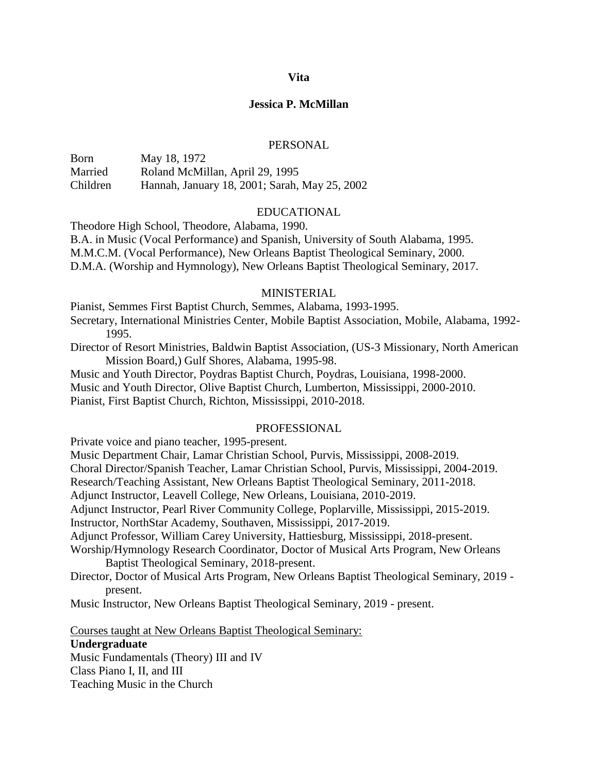#### **Vita**

#### **Jessica P. McMillan**

#### PERSONAL

Born May 18, 1972 Married Roland McMillan, April 29, 1995 Children Hannah, January 18, 2001; Sarah, May 25, 2002

### EDUCATIONAL

Theodore High School, Theodore, Alabama, 1990.

B.A. in Music (Vocal Performance) and Spanish, University of South Alabama, 1995. M.M.C.M. (Vocal Performance), New Orleans Baptist Theological Seminary, 2000. D.M.A. (Worship and Hymnology), New Orleans Baptist Theological Seminary, 2017.

### **MINISTERIAL**

Pianist, Semmes First Baptist Church, Semmes, Alabama, 1993-1995.

Secretary, International Ministries Center, Mobile Baptist Association, Mobile, Alabama, 1992- 1995.

Director of Resort Ministries, Baldwin Baptist Association, (US-3 Missionary, North American Mission Board,) Gulf Shores, Alabama, 1995-98.

Music and Youth Director, Poydras Baptist Church, Poydras, Louisiana, 1998-2000. Music and Youth Director, Olive Baptist Church, Lumberton, Mississippi, 2000-2010. Pianist, First Baptist Church, Richton, Mississippi, 2010-2018.

#### PROFESSIONAL

Private voice and piano teacher, 1995-present.

Music Department Chair, Lamar Christian School, Purvis, Mississippi, 2008-2019.

Choral Director/Spanish Teacher, Lamar Christian School, Purvis, Mississippi, 2004-2019.

Research/Teaching Assistant, New Orleans Baptist Theological Seminary, 2011-2018.

Adjunct Instructor, Leavell College, New Orleans, Louisiana, 2010-2019.

Adjunct Instructor, Pearl River Community College, Poplarville, Mississippi, 2015-2019.

Instructor, NorthStar Academy, Southaven, Mississippi, 2017-2019.

Adjunct Professor, William Carey University, Hattiesburg, Mississippi, 2018-present.

Worship/Hymnology Research Coordinator, Doctor of Musical Arts Program, New Orleans Baptist Theological Seminary, 2018-present.

Director, Doctor of Musical Arts Program, New Orleans Baptist Theological Seminary, 2019 present.

Music Instructor, New Orleans Baptist Theological Seminary, 2019 - present.

Courses taught at New Orleans Baptist Theological Seminary:

#### **Undergraduate**

Music Fundamentals (Theory) III and IV Class Piano I, II, and III Teaching Music in the Church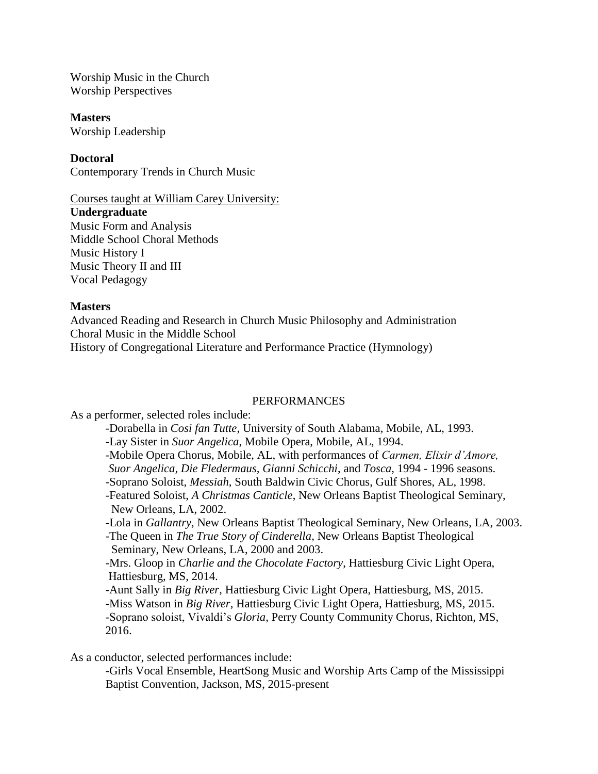Worship Music in the Church Worship Perspectives

### **Masters**

Worship Leadership

# **Doctoral**

Contemporary Trends in Church Music

### Courses taught at William Carey University:

**Undergraduate**

Music Form and Analysis Middle School Choral Methods Music History I Music Theory II and III Vocal Pedagogy

### **Masters**

Advanced Reading and Research in Church Music Philosophy and Administration Choral Music in the Middle School History of Congregational Literature and Performance Practice (Hymnology)

### PERFORMANCES

As a performer, selected roles include:

-Dorabella in *Cosi fan Tutte*, University of South Alabama, Mobile, AL, 1993. -Lay Sister in *Suor Angelica*, Mobile Opera, Mobile, AL, 1994. -Mobile Opera Chorus, Mobile, AL, with performances of *Carmen, Elixir d'Amore, Suor Angelica, Die Fledermaus, Gianni Schicchi*, and *Tosca*, 1994 - 1996 seasons. -Soprano Soloist, *Messiah*, South Baldwin Civic Chorus, Gulf Shores, AL, 1998. -Featured Soloist, *A Christmas Canticle*, New Orleans Baptist Theological Seminary, New Orleans, LA, 2002. -Lola in *Gallantry*, New Orleans Baptist Theological Seminary, New Orleans, LA, 2003. -The Queen in *The True Story of Cinderella*, New Orleans Baptist Theological Seminary, New Orleans, LA, 2000 and 2003. -Mrs. Gloop in *Charlie and the Chocolate Factory*, Hattiesburg Civic Light Opera, Hattiesburg, MS, 2014. -Aunt Sally in *Big River*, Hattiesburg Civic Light Opera, Hattiesburg, MS, 2015. -Miss Watson in *Big River*, Hattiesburg Civic Light Opera, Hattiesburg, MS, 2015. -Soprano soloist, Vivaldi's *Gloria*, Perry County Community Chorus, Richton, MS, 2016.

As a conductor, selected performances include:

-Girls Vocal Ensemble, HeartSong Music and Worship Arts Camp of the Mississippi Baptist Convention, Jackson, MS, 2015-present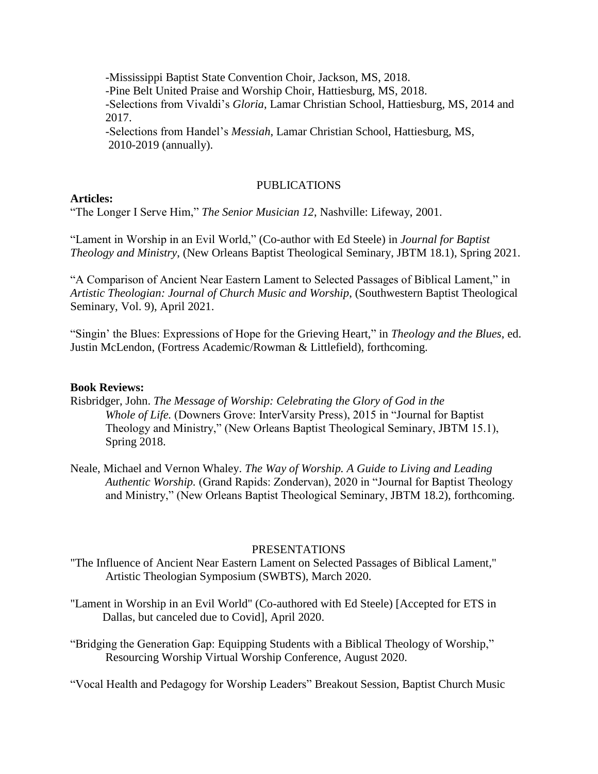-Mississippi Baptist State Convention Choir, Jackson, MS, 2018. -Pine Belt United Praise and Worship Choir, Hattiesburg, MS, 2018. -Selections from Vivaldi's *Gloria*, Lamar Christian School, Hattiesburg, MS, 2014 and 2017.

-Selections from Handel's *Messiah*, Lamar Christian School, Hattiesburg, MS, 2010-2019 (annually).

# PUBLICATIONS

# **Articles:**

"The Longer I Serve Him," *The Senior Musician 12*, Nashville: Lifeway, 2001.

"Lament in Worship in an Evil World," (Co-author with Ed Steele) in *Journal for Baptist Theology and Ministry*, (New Orleans Baptist Theological Seminary, JBTM 18.1), Spring 2021.

"A Comparison of Ancient Near Eastern Lament to Selected Passages of Biblical Lament," in *Artistic Theologian: Journal of Church Music and Worship*, (Southwestern Baptist Theological Seminary, Vol. 9), April 2021.

"Singin' the Blues: Expressions of Hope for the Grieving Heart," in *Theology and the Blues*, ed. Justin McLendon, (Fortress Academic/Rowman & Littlefield), forthcoming.

### **Book Reviews:**

- Risbridger, John. *The Message of Worship: Celebrating the Glory of God in the Whole of Life.* (Downers Grove: InterVarsity Press), 2015 in "Journal for Baptist Theology and Ministry," (New Orleans Baptist Theological Seminary, JBTM 15.1), Spring 2018.
- Neale, Michael and Vernon Whaley. *The Way of Worship. A Guide to Living and Leading Authentic Worship.* (Grand Rapids: Zondervan), 2020 in "Journal for Baptist Theology and Ministry," (New Orleans Baptist Theological Seminary, JBTM 18.2), forthcoming.

### PRESENTATIONS

- "The Influence of Ancient Near Eastern Lament on Selected Passages of Biblical Lament," Artistic Theologian Symposium (SWBTS), March 2020.
- "Lament in Worship in an Evil World" (Co-authored with Ed Steele) [Accepted for ETS in Dallas, but canceled due to Covid], April 2020.
- "Bridging the Generation Gap: Equipping Students with a Biblical Theology of Worship," Resourcing Worship Virtual Worship Conference, August 2020.

"Vocal Health and Pedagogy for Worship Leaders" Breakout Session, Baptist Church Music